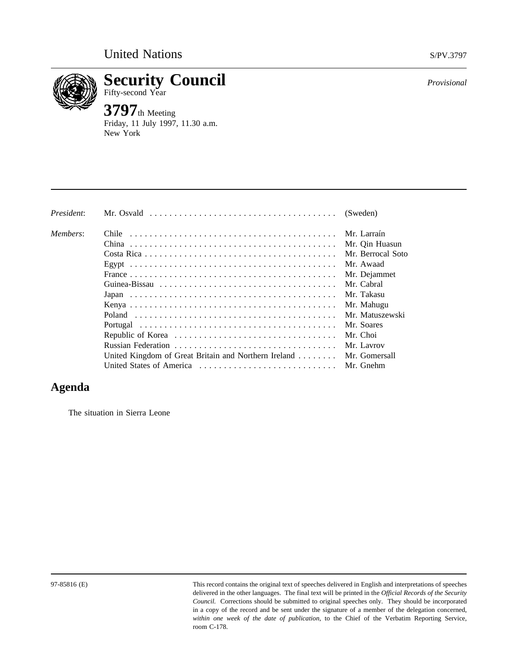

**Security Council** *Provisional* Fifty-second Year

**3797**th Meeting Friday, 11 July 1997, 11.30 a.m. New York

| President: | Mr. Osvald $\ldots \ldots \ldots \ldots \ldots \ldots \ldots \ldots \ldots \ldots \ldots \ldots$ | (Sweden)          |
|------------|--------------------------------------------------------------------------------------------------|-------------------|
| Members:   |                                                                                                  | Mr. Larraín       |
|            |                                                                                                  | Mr. Qin Huasun    |
|            |                                                                                                  | Mr. Berrocal Soto |
|            |                                                                                                  | Mr. Awaad         |
|            |                                                                                                  | Mr. Dejammet      |
|            |                                                                                                  | Mr. Cabral        |
|            |                                                                                                  | Mr. Takasu        |
|            |                                                                                                  | Mr. Mahugu        |
|            |                                                                                                  | Mr. Matuszewski   |
|            |                                                                                                  | Mr. Soares        |
|            |                                                                                                  | Mr. Choi          |
|            |                                                                                                  | Mr. Lavrov        |
|            | United Kingdom of Great Britain and Northern Ireland $\dots \dots$                               | Mr. Gomersall     |
|            | United States of America                                                                         | Mr. Gnehm         |

## **Agenda**

The situation in Sierra Leone

97-85816 (E) This record contains the original text of speeches delivered in English and interpretations of speeches delivered in the other languages. The final text will be printed in the *Official Records of the Security Council.* Corrections should be submitted to original speeches only. They should be incorporated in a copy of the record and be sent under the signature of a member of the delegation concerned, *within one week of the date of publication*, to the Chief of the Verbatim Reporting Service, room C-178.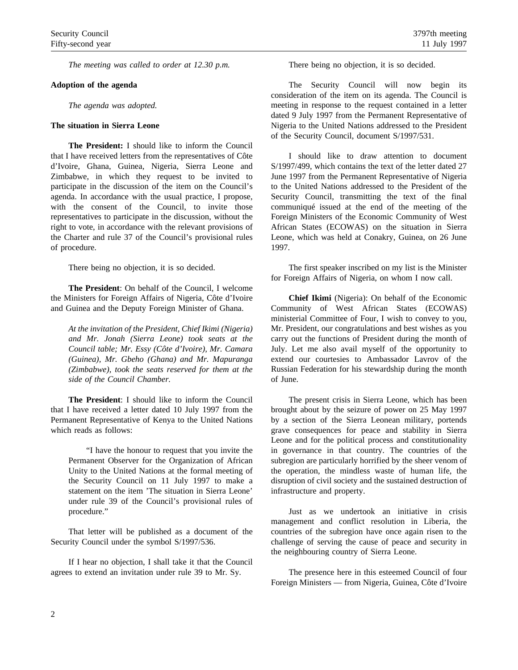*The meeting was called to order at 12.30 p.m.*

## **Adoption of the agenda**

*The agenda was adopted.*

## **The situation in Sierra Leone**

**The President:** I should like to inform the Council that I have received letters from the representatives of Côte d'Ivoire, Ghana, Guinea, Nigeria, Sierra Leone and Zimbabwe, in which they request to be invited to participate in the discussion of the item on the Council's agenda. In accordance with the usual practice, I propose, with the consent of the Council, to invite those representatives to participate in the discussion, without the right to vote, in accordance with the relevant provisions of the Charter and rule 37 of the Council's provisional rules of procedure.

There being no objection, it is so decided.

**The President**: On behalf of the Council, I welcome the Ministers for Foreign Affairs of Nigeria, Côte d'Ivoire and Guinea and the Deputy Foreign Minister of Ghana.

*At the invitation of the President, Chief Ikimi (Nigeria) and Mr. Jonah (Sierra Leone) took seats at the Council table; Mr. Essy (Côte d'Ivoire), Mr. Camara (Guinea), Mr. Gbeho (Ghana) and Mr. Mapuranga (Zimbabwe), took the seats reserved for them at the side of the Council Chamber.*

**The President**: I should like to inform the Council that I have received a letter dated 10 July 1997 from the Permanent Representative of Kenya to the United Nations which reads as follows:

"I have the honour to request that you invite the Permanent Observer for the Organization of African Unity to the United Nations at the formal meeting of the Security Council on 11 July 1997 to make a statement on the item 'The situation in Sierra Leone' under rule 39 of the Council's provisional rules of procedure."

That letter will be published as a document of the Security Council under the symbol S/1997/536.

If I hear no objection, I shall take it that the Council agrees to extend an invitation under rule 39 to Mr. Sy.

There being no objection, it is so decided.

The Security Council will now begin its consideration of the item on its agenda. The Council is meeting in response to the request contained in a letter dated 9 July 1997 from the Permanent Representative of Nigeria to the United Nations addressed to the President of the Security Council, document S/1997/531.

I should like to draw attention to document S/1997/499, which contains the text of the letter dated 27 June 1997 from the Permanent Representative of Nigeria to the United Nations addressed to the President of the Security Council, transmitting the text of the final communiqué issued at the end of the meeting of the Foreign Ministers of the Economic Community of West African States (ECOWAS) on the situation in Sierra Leone, which was held at Conakry, Guinea, on 26 June 1997.

The first speaker inscribed on my list is the Minister for Foreign Affairs of Nigeria, on whom I now call.

**Chief Ikimi** (Nigeria): On behalf of the Economic Community of West African States (ECOWAS) ministerial Committee of Four, I wish to convey to you, Mr. President, our congratulations and best wishes as you carry out the functions of President during the month of July. Let me also avail myself of the opportunity to extend our courtesies to Ambassador Lavrov of the Russian Federation for his stewardship during the month of June.

The present crisis in Sierra Leone, which has been brought about by the seizure of power on 25 May 1997 by a section of the Sierra Leonean military, portends grave consequences for peace and stability in Sierra Leone and for the political process and constitutionality in governance in that country. The countries of the subregion are particularly horrified by the sheer venom of the operation, the mindless waste of human life, the disruption of civil society and the sustained destruction of infrastructure and property.

Just as we undertook an initiative in crisis management and conflict resolution in Liberia, the countries of the subregion have once again risen to the challenge of serving the cause of peace and security in the neighbouring country of Sierra Leone.

The presence here in this esteemed Council of four Foreign Ministers — from Nigeria, Guinea, Côte d'Ivoire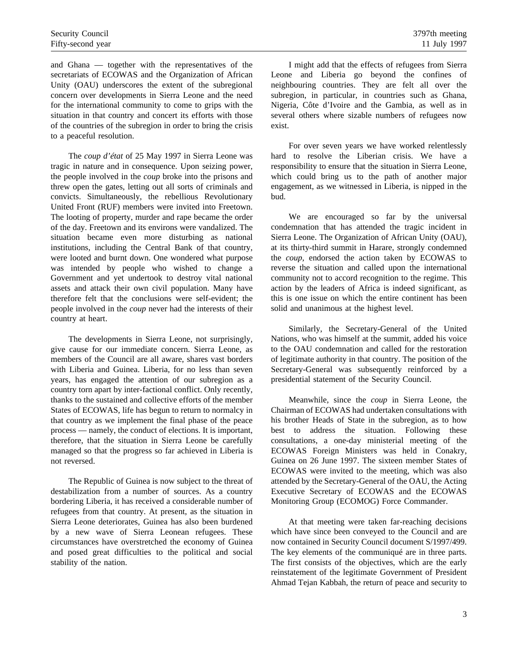and Ghana — together with the representatives of the secretariats of ECOWAS and the Organization of African Unity (OAU) underscores the extent of the subregional concern over developments in Sierra Leone and the need for the international community to come to grips with the situation in that country and concert its efforts with those of the countries of the subregion in order to bring the crisis to a peaceful resolution.

The *coup d'état* of 25 May 1997 in Sierra Leone was tragic in nature and in consequence. Upon seizing power, the people involved in the *coup* broke into the prisons and threw open the gates, letting out all sorts of criminals and convicts. Simultaneously, the rebellious Revolutionary United Front (RUF) members were invited into Freetown. The looting of property, murder and rape became the order of the day. Freetown and its environs were vandalized. The situation became even more disturbing as national institutions, including the Central Bank of that country, were looted and burnt down. One wondered what purpose was intended by people who wished to change a Government and yet undertook to destroy vital national assets and attack their own civil population. Many have therefore felt that the conclusions were self-evident; the people involved in the *coup* never had the interests of their country at heart.

The developments in Sierra Leone, not surprisingly, give cause for our immediate concern. Sierra Leone, as members of the Council are all aware, shares vast borders with Liberia and Guinea. Liberia, for no less than seven years, has engaged the attention of our subregion as a country torn apart by inter-factional conflict. Only recently, thanks to the sustained and collective efforts of the member States of ECOWAS, life has begun to return to normalcy in that country as we implement the final phase of the peace process — namely, the conduct of elections. It is important, therefore, that the situation in Sierra Leone be carefully managed so that the progress so far achieved in Liberia is not reversed.

The Republic of Guinea is now subject to the threat of destabilization from a number of sources. As a country bordering Liberia, it has received a considerable number of refugees from that country. At present, as the situation in Sierra Leone deteriorates, Guinea has also been burdened by a new wave of Sierra Leonean refugees. These circumstances have overstretched the economy of Guinea and posed great difficulties to the political and social stability of the nation.

I might add that the effects of refugees from Sierra Leone and Liberia go beyond the confines of neighbouring countries. They are felt all over the subregion, in particular, in countries such as Ghana, Nigeria, Côte d'Ivoire and the Gambia, as well as in several others where sizable numbers of refugees now exist.

For over seven years we have worked relentlessly hard to resolve the Liberian crisis. We have a responsibility to ensure that the situation in Sierra Leone, which could bring us to the path of another major engagement, as we witnessed in Liberia, is nipped in the bud.

We are encouraged so far by the universal condemnation that has attended the tragic incident in Sierra Leone. The Organization of African Unity (OAU), at its thirty-third summit in Harare, strongly condemned the *coup*, endorsed the action taken by ECOWAS to reverse the situation and called upon the international community not to accord recognition to the regime. This action by the leaders of Africa is indeed significant, as this is one issue on which the entire continent has been solid and unanimous at the highest level.

Similarly, the Secretary-General of the United Nations, who was himself at the summit, added his voice to the OAU condemnation and called for the restoration of legitimate authority in that country. The position of the Secretary-General was subsequently reinforced by a presidential statement of the Security Council.

Meanwhile, since the *coup* in Sierra Leone, the Chairman of ECOWAS had undertaken consultations with his brother Heads of State in the subregion, as to how best to address the situation. Following these consultations, a one-day ministerial meeting of the ECOWAS Foreign Ministers was held in Conakry, Guinea on 26 June 1997. The sixteen member States of ECOWAS were invited to the meeting, which was also attended by the Secretary-General of the OAU, the Acting Executive Secretary of ECOWAS and the ECOWAS Monitoring Group (ECOMOG) Force Commander.

At that meeting were taken far-reaching decisions which have since been conveyed to the Council and are now contained in Security Council document S/1997/499. The key elements of the communiqué are in three parts. The first consists of the objectives, which are the early reinstatement of the legitimate Government of President Ahmad Tejan Kabbah, the return of peace and security to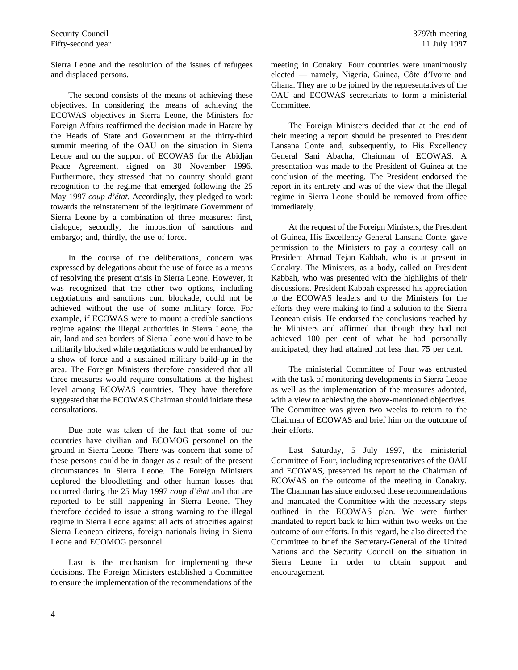Sierra Leone and the resolution of the issues of refugees and displaced persons.

The second consists of the means of achieving these objectives. In considering the means of achieving the ECOWAS objectives in Sierra Leone, the Ministers for Foreign Affairs reaffirmed the decision made in Harare by the Heads of State and Government at the thirty-third summit meeting of the OAU on the situation in Sierra Leone and on the support of ECOWAS for the Abidjan Peace Agreement, signed on 30 November 1996. Furthermore, they stressed that no country should grant recognition to the regime that emerged following the 25 May 1997 *coup d'état*. Accordingly, they pledged to work towards the reinstatement of the legitimate Government of Sierra Leone by a combination of three measures: first, dialogue; secondly, the imposition of sanctions and embargo; and, thirdly, the use of force.

In the course of the deliberations, concern was expressed by delegations about the use of force as a means of resolving the present crisis in Sierra Leone. However, it was recognized that the other two options, including negotiations and sanctions cum blockade, could not be achieved without the use of some military force. For example, if ECOWAS were to mount a credible sanctions regime against the illegal authorities in Sierra Leone, the air, land and sea borders of Sierra Leone would have to be militarily blocked while negotiations would be enhanced by a show of force and a sustained military build-up in the area. The Foreign Ministers therefore considered that all three measures would require consultations at the highest level among ECOWAS countries. They have therefore suggested that the ECOWAS Chairman should initiate these consultations.

Due note was taken of the fact that some of our countries have civilian and ECOMOG personnel on the ground in Sierra Leone. There was concern that some of these persons could be in danger as a result of the present circumstances in Sierra Leone. The Foreign Ministers deplored the bloodletting and other human losses that occurred during the 25 May 1997 *coup d'état* and that are reported to be still happening in Sierra Leone. They therefore decided to issue a strong warning to the illegal regime in Sierra Leone against all acts of atrocities against Sierra Leonean citizens, foreign nationals living in Sierra Leone and ECOMOG personnel.

Last is the mechanism for implementing these decisions. The Foreign Ministers established a Committee to ensure the implementation of the recommendations of the meeting in Conakry. Four countries were unanimously elected — namely, Nigeria, Guinea, Côte d'Ivoire and Ghana. They are to be joined by the representatives of the OAU and ECOWAS secretariats to form a ministerial Committee.

The Foreign Ministers decided that at the end of their meeting a report should be presented to President Lansana Conte and, subsequently, to His Excellency General Sani Abacha, Chairman of ECOWAS. A presentation was made to the President of Guinea at the conclusion of the meeting. The President endorsed the report in its entirety and was of the view that the illegal regime in Sierra Leone should be removed from office immediately.

At the request of the Foreign Ministers, the President of Guinea, His Excellency General Lansana Conte, gave permission to the Ministers to pay a courtesy call on President Ahmad Tejan Kabbah, who is at present in Conakry. The Ministers, as a body, called on President Kabbah, who was presented with the highlights of their discussions. President Kabbah expressed his appreciation to the ECOWAS leaders and to the Ministers for the efforts they were making to find a solution to the Sierra Leonean crisis. He endorsed the conclusions reached by the Ministers and affirmed that though they had not achieved 100 per cent of what he had personally anticipated, they had attained not less than 75 per cent.

The ministerial Committee of Four was entrusted with the task of monitoring developments in Sierra Leone as well as the implementation of the measures adopted, with a view to achieving the above-mentioned objectives. The Committee was given two weeks to return to the Chairman of ECOWAS and brief him on the outcome of their efforts.

Last Saturday, 5 July 1997, the ministerial Committee of Four, including representatives of the OAU and ECOWAS, presented its report to the Chairman of ECOWAS on the outcome of the meeting in Conakry. The Chairman has since endorsed these recommendations and mandated the Committee with the necessary steps outlined in the ECOWAS plan. We were further mandated to report back to him within two weeks on the outcome of our efforts. In this regard, he also directed the Committee to brief the Secretary-General of the United Nations and the Security Council on the situation in Sierra Leone in order to obtain support and encouragement.